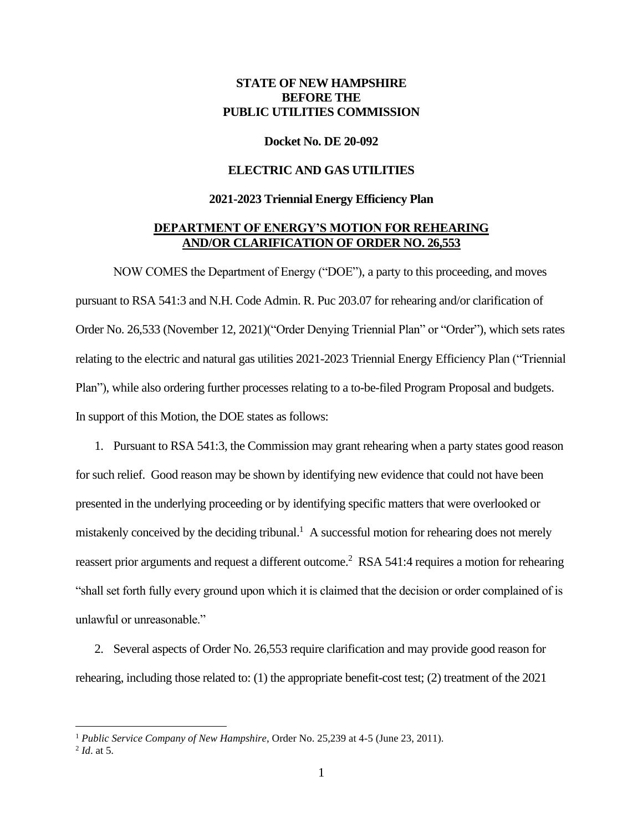# **STATE OF NEW HAMPSHIRE BEFORE THE PUBLIC UTILITIES COMMISSION**

#### **Docket No. DE 20-092**

# **ELECTRIC AND GAS UTILITIES**

## **2021-2023 Triennial Energy Efficiency Plan**

# **DEPARTMENT OF ENERGY'S MOTION FOR REHEARING AND/OR CLARIFICATION OF ORDER NO. 26,553**

NOW COMES the Department of Energy ("DOE"), a party to this proceeding, and moves pursuant to RSA 541:3 and N.H. Code Admin. R. Puc 203.07 for rehearing and/or clarification of Order No. 26,533 (November 12, 2021)("Order Denying Triennial Plan" or "Order"), which sets rates relating to the electric and natural gas utilities 2021-2023 Triennial Energy Efficiency Plan ("Triennial Plan"), while also ordering further processes relating to a to-be-filed Program Proposal and budgets. In support of this Motion, the DOE states as follows:

1. Pursuant to RSA 541:3, the Commission may grant rehearing when a party states good reason for such relief. Good reason may be shown by identifying new evidence that could not have been presented in the underlying proceeding or by identifying specific matters that were overlooked or mistakenly conceived by the deciding tribunal.<sup>1</sup> A successful motion for rehearing does not merely reassert prior arguments and request a different outcome.<sup>2</sup> RSA 541:4 requires a motion for rehearing "shall set forth fully every ground upon which it is claimed that the decision or order complained of is unlawful or unreasonable."

2. Several aspects of Order No. 26,553 require clarification and may provide good reason for rehearing, including those related to: (1) the appropriate benefit-cost test; (2) treatment of the 2021

<sup>&</sup>lt;sup>1</sup> *Public Service Company of New Hampshire*, Order No. 25,239 at 4-5 (June 23, 2011).

<sup>2</sup> *Id*. at 5.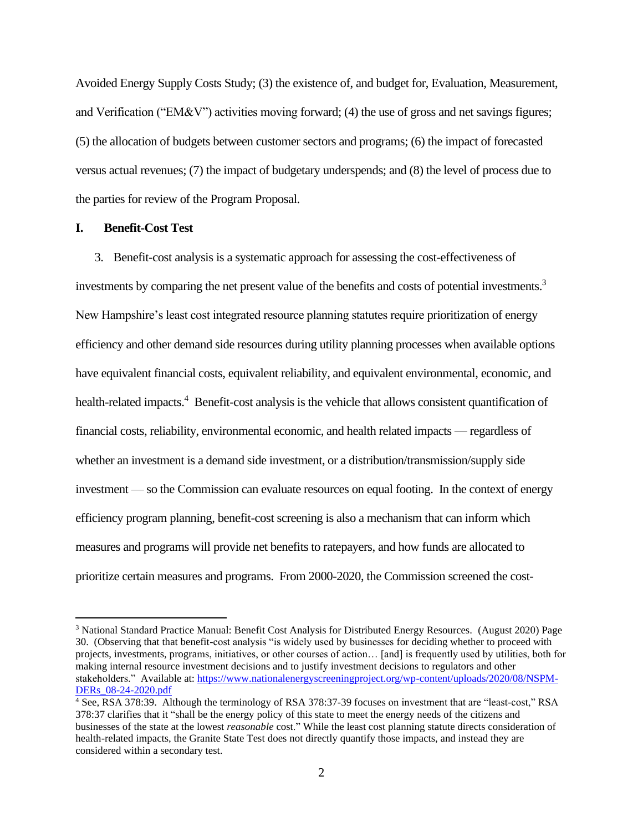Avoided Energy Supply Costs Study; (3) the existence of, and budget for, Evaluation, Measurement, and Verification ("EM&V") activities moving forward; (4) the use of gross and net savings figures; (5) the allocation of budgets between customer sectors and programs; (6) the impact of forecasted versus actual revenues; (7) the impact of budgetary underspends; and (8) the level of process due to the parties for review of the Program Proposal.

### **I. Benefit-Cost Test**

3. Benefit-cost analysis is a systematic approach for assessing the cost-effectiveness of investments by comparing the net present value of the benefits and costs of potential investments.<sup>3</sup> New Hampshire's least cost integrated resource planning statutes require prioritization of energy efficiency and other demand side resources during utility planning processes when available options have equivalent financial costs, equivalent reliability, and equivalent environmental, economic, and health-related impacts.<sup>4</sup> Benefit-cost analysis is the vehicle that allows consistent quantification of financial costs, reliability, environmental economic, and health related impacts — regardless of whether an investment is a demand side investment, or a distribution/transmission/supply side investment — so the Commission can evaluate resources on equal footing. In the context of energy efficiency program planning, benefit-cost screening is also a mechanism that can inform which measures and programs will provide net benefits to ratepayers, and how funds are allocated to prioritize certain measures and programs. From 2000-2020, the Commission screened the cost-

<sup>3</sup> National Standard Practice Manual: Benefit Cost Analysis for Distributed Energy Resources. (August 2020) Page 30. (Observing that that benefit-cost analysis "is widely used by businesses for deciding whether to proceed with projects, investments, programs, initiatives, or other courses of action… [and] is frequently used by utilities, both for making internal resource investment decisions and to justify investment decisions to regulators and other stakeholders." Available at: [https://www.nationalenergyscreeningproject.org/wp-content/uploads/2020/08/NSPM-](https://www.nationalenergyscreeningproject.org/wp-content/uploads/2020/08/NSPM-DERs_08-24-2020.pdf)[DERs\\_08-24-2020.pdf](https://www.nationalenergyscreeningproject.org/wp-content/uploads/2020/08/NSPM-DERs_08-24-2020.pdf)

<sup>4</sup> See, RSA 378:39. Although the terminology of RSA 378:37-39 focuses on investment that are "least-cost," RSA 378:37 clarifies that it "shall be the energy policy of this state to meet the energy needs of the citizens and businesses of the state at the lowest *reasonable* cost." While the least cost planning statute directs consideration of health-related impacts, the Granite State Test does not directly quantify those impacts, and instead they are considered within a secondary test.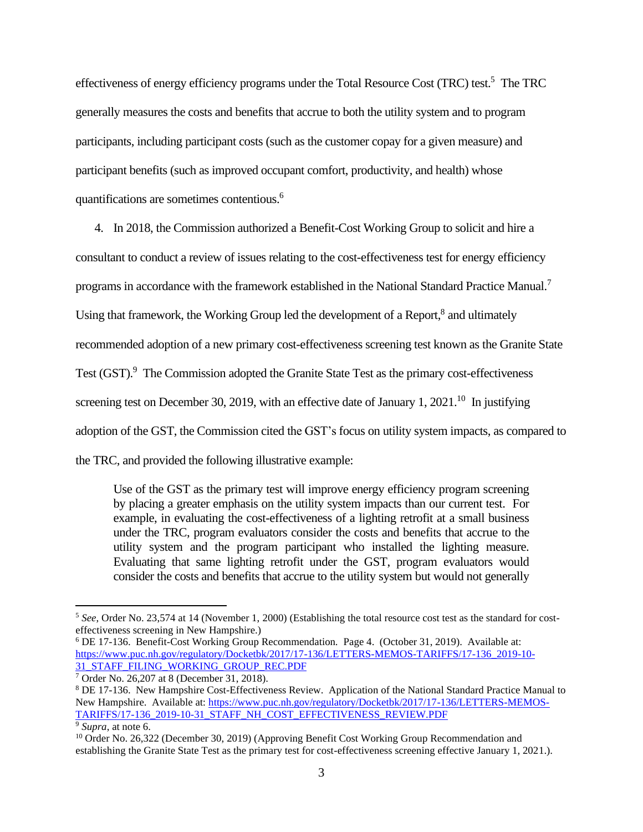effectiveness of energy efficiency programs under the Total Resource Cost (TRC) test.<sup>5</sup> The TRC generally measures the costs and benefits that accrue to both the utility system and to program participants, including participant costs (such as the customer copay for a given measure) and participant benefits (such as improved occupant comfort, productivity, and health) whose quantifications are sometimes contentious.<sup>6</sup>

4. In 2018, the Commission authorized a Benefit-Cost Working Group to solicit and hire a consultant to conduct a review of issues relating to the cost-effectiveness test for energy efficiency programs in accordance with the framework established in the National Standard Practice Manual.<sup>7</sup> Using that framework, the Working Group led the development of a Report,<sup>8</sup> and ultimately recommended adoption of a new primary cost-effectiveness screening test known as the Granite State Test (GST).<sup>9</sup> The Commission adopted the Granite State Test as the primary cost-effectiveness screening test on December 30, 2019, with an effective date of January 1, 2021.<sup>10</sup> In justifying adoption of the GST, the Commission cited the GST's focus on utility system impacts, as compared to the TRC, and provided the following illustrative example:

Use of the GST as the primary test will improve energy efficiency program screening by placing a greater emphasis on the utility system impacts than our current test. For example, in evaluating the cost-effectiveness of a lighting retrofit at a small business under the TRC, program evaluators consider the costs and benefits that accrue to the utility system and the program participant who installed the lighting measure. Evaluating that same lighting retrofit under the GST, program evaluators would consider the costs and benefits that accrue to the utility system but would not generally

<sup>5</sup> *See*, Order No. 23,574 at 14 (November 1, 2000) (Establishing the total resource cost test as the standard for costeffectiveness screening in New Hampshire.)

<sup>6</sup> DE 17-136. Benefit-Cost Working Group Recommendation. Page 4. (October 31, 2019). Available at: [https://www.puc.nh.gov/regulatory/Docketbk/2017/17-136/LETTERS-MEMOS-TARIFFS/17-136\\_2019-10-](https://www.puc.nh.gov/regulatory/Docketbk/2017/17-136/LETTERS-MEMOS-TARIFFS/17-136_2019-10-31_STAFF_FILING_WORKING_GROUP_REC.PDF) [31\\_STAFF\\_FILING\\_WORKING\\_GROUP\\_REC.PDF](https://www.puc.nh.gov/regulatory/Docketbk/2017/17-136/LETTERS-MEMOS-TARIFFS/17-136_2019-10-31_STAFF_FILING_WORKING_GROUP_REC.PDF)

<sup>7</sup> Order No. 26,207 at 8 (December 31, 2018).

<sup>8</sup> DE 17-136. New Hampshire Cost-Effectiveness Review. Application of the National Standard Practice Manual to New Hampshire. Available at[: https://www.puc.nh.gov/regulatory/Docketbk/2017/17-136/LETTERS-MEMOS-](https://www.puc.nh.gov/regulatory/Docketbk/2017/17-136/LETTERS-MEMOS-TARIFFS/17-136_2019-10-31_STAFF_NH_COST_EFFECTIVENESS_REVIEW.PDF)[TARIFFS/17-136\\_2019-10-31\\_STAFF\\_NH\\_COST\\_EFFECTIVENESS\\_REVIEW.PDF](https://www.puc.nh.gov/regulatory/Docketbk/2017/17-136/LETTERS-MEMOS-TARIFFS/17-136_2019-10-31_STAFF_NH_COST_EFFECTIVENESS_REVIEW.PDF)

<sup>9</sup> *Supra*, at note 6.

<sup>&</sup>lt;sup>10</sup> Order No. 26,322 (December 30, 2019) (Approving Benefit Cost Working Group Recommendation and establishing the Granite State Test as the primary test for cost-effectiveness screening effective January 1, 2021.).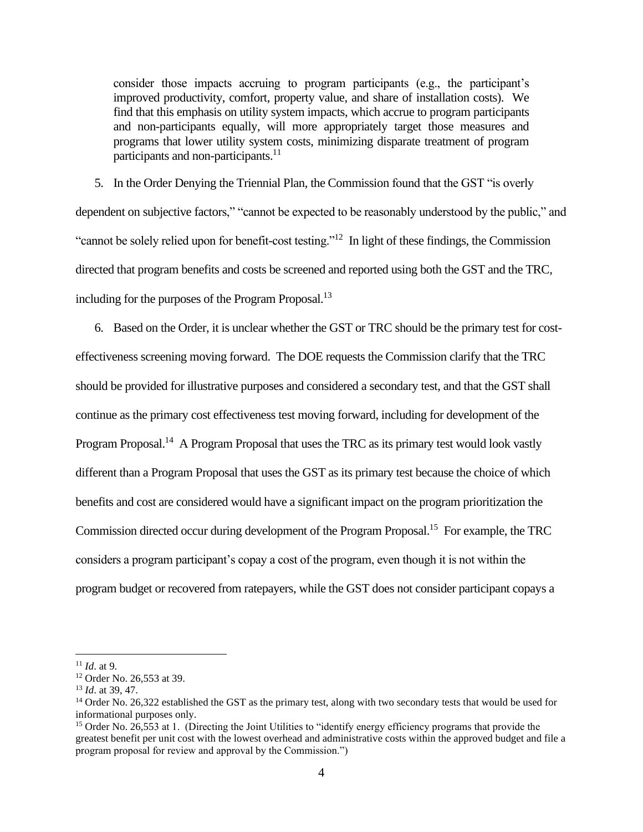consider those impacts accruing to program participants (e.g., the participant's improved productivity, comfort, property value, and share of installation costs). We find that this emphasis on utility system impacts, which accrue to program participants and non-participants equally, will more appropriately target those measures and programs that lower utility system costs, minimizing disparate treatment of program participants and non-participants.<sup>11</sup>

5. In the Order Denying the Triennial Plan, the Commission found that the GST "is overly dependent on subjective factors," "cannot be expected to be reasonably understood by the public," and "cannot be solely relied upon for benefit-cost testing."<sup>12</sup> In light of these findings, the Commission directed that program benefits and costs be screened and reported using both the GST and the TRC, including for the purposes of the Program Proposal.<sup>13</sup>

6. Based on the Order, it is unclear whether the GST or TRC should be the primary test for costeffectiveness screening moving forward. The DOE requests the Commission clarify that the TRC should be provided for illustrative purposes and considered a secondary test, and that the GST shall continue as the primary cost effectiveness test moving forward, including for development of the Program Proposal.<sup>14</sup> A Program Proposal that uses the TRC as its primary test would look vastly different than a Program Proposal that uses the GST as its primary test because the choice of which benefits and cost are considered would have a significant impact on the program prioritization the Commission directed occur during development of the Program Proposal.<sup>15</sup> For example, the TRC considers a program participant's copay a cost of the program, even though it is not within the program budget or recovered from ratepayers, while the GST does not consider participant copays a

<sup>11</sup> *Id*. at 9.

<sup>&</sup>lt;sup>12</sup> Order No. 26,553 at 39.

<sup>13</sup> *Id*. at 39, 47.

<sup>&</sup>lt;sup>14</sup> Order No. 26,322 established the GST as the primary test, along with two secondary tests that would be used for informational purposes only.

<sup>&</sup>lt;sup>15</sup> Order No. 26,553 at 1. (Directing the Joint Utilities to "identify energy efficiency programs that provide the greatest benefit per unit cost with the lowest overhead and administrative costs within the approved budget and file a program proposal for review and approval by the Commission.")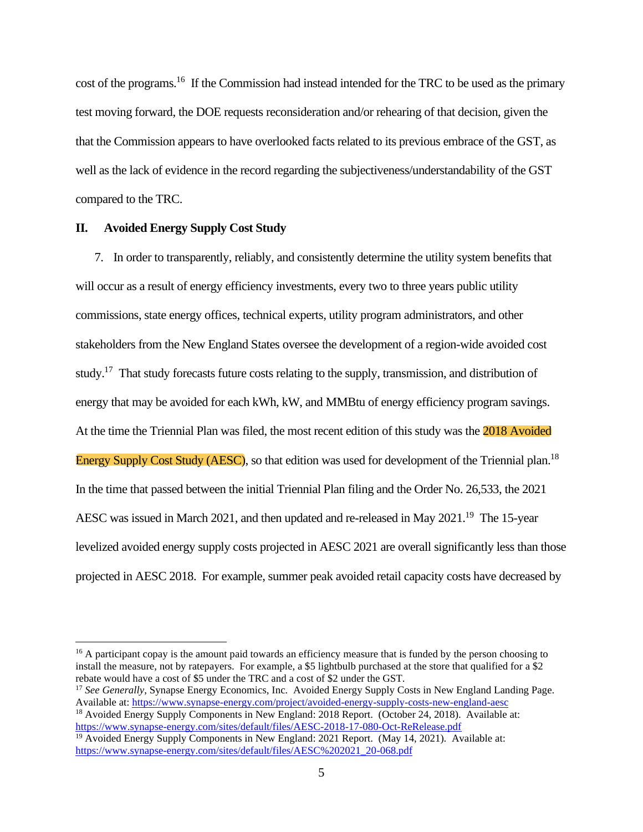cost of the programs.<sup>16</sup> If the Commission had instead intended for the TRC to be used as the primary test moving forward, the DOE requests reconsideration and/or rehearing of that decision, given the that the Commission appears to have overlooked facts related to its previous embrace of the GST, as well as the lack of evidence in the record regarding the subjectiveness/understandability of the GST compared to the TRC.

## **II. Avoided Energy Supply Cost Study**

7. In order to transparently, reliably, and consistently determine the utility system benefits that will occur as a result of energy efficiency investments, every two to three years public utility commissions, state energy offices, technical experts, utility program administrators, and other stakeholders from the New England States oversee the development of a region-wide avoided cost study.<sup>17</sup> That study forecasts future costs relating to the supply, transmission, and distribution of energy that may be avoided for each kWh, kW, and MMBtu of energy efficiency program savings. At the time the Triennial Plan was filed, the most recent edition of this study was the 2018 Avoided Energy Supply Cost Study (AESC), so that edition was used for development of the Triennial plan.<sup>18</sup> In the time that passed between the initial Triennial Plan filing and the Order No. 26,533, the 2021 AESC was issued in March 2021, and then updated and re-released in May 2021.<sup>19</sup> The 15-year levelized avoided energy supply costs projected in AESC 2021 are overall significantly less than those projected in AESC 2018. For example, summer peak avoided retail capacity costs have decreased by

<sup>&</sup>lt;sup>16</sup> A participant copay is the amount paid towards an efficiency measure that is funded by the person choosing to install the measure, not by ratepayers. For example, a \$5 lightbulb purchased at the store that qualified for a \$2 rebate would have a cost of \$5 under the TRC and a cost of \$2 under the GST.

<sup>17</sup> *See Generally*, Synapse Energy Economics, Inc. Avoided Energy Supply Costs in New England Landing Page. Available at:<https://www.synapse-energy.com/project/avoided-energy-supply-costs-new-england-aesc> <sup>18</sup> Avoided Energy Supply Components in New England: 2018 Report. (October 24, 2018). Available at:

<https://www.synapse-energy.com/sites/default/files/AESC-2018-17-080-Oct-ReRelease.pdf> <sup>19</sup> Avoided Energy Supply Components in New England: 2021 Report. (May 14, 2021). Available at:

[https://www.synapse-energy.com/sites/default/files/AESC%202021\\_20-068.pdf](https://www.synapse-energy.com/sites/default/files/AESC%202021_20-068.pdf)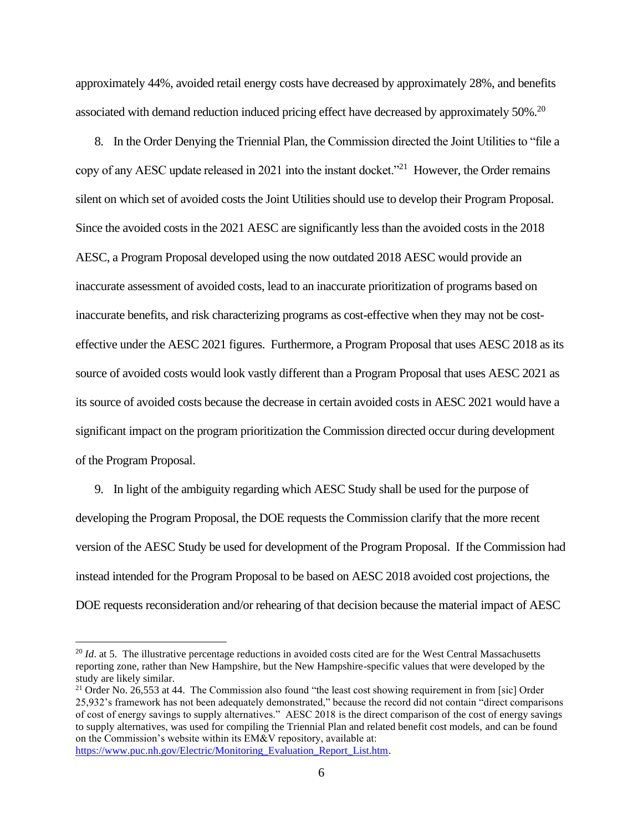approximately 44%, avoided retail energy costs have decreased by approximately 28%, and benefits associated with demand reduction induced pricing effect have decreased by approximately  $50\%$ .<sup>20</sup>

8. In the Order Denying the Triennial Plan, the Commission directed the Joint Utilities to "file a copy of any AESC update released in 2021 into the instant docket.<sup> $21$ </sup> However, the Order remains silent on which set of avoided costs the Joint Utilities should use to develop their Program Proposal. Since the avoided costs in the 2021 AESC are significantly less than the avoided costs in the 2018 AESC, a Program Proposal developed using the now outdated 2018 AESC would provide an inaccurate assessment of avoided costs, lead to an inaccurate prioritization of programs based on inaccurate benefits, and risk characterizing programs as cost-effective when they may not be costeffective under the AESC 2021 figures. Furthermore, a Program Proposal that uses AESC 2018 as its source of avoided costs would look vastly different than a Program Proposal that uses AESC 2021 as its source of avoided costs because the decrease in certain avoided costs in AESC 2021 would have a significant impact on the program prioritization the Commission directed occur during development of the Program Proposal.

9. In light of the ambiguity regarding which AESC Study shall be used for the purpose of developing the Program Proposal, the DOE requests the Commission clarify that the more recent version of the AESC Study be used for development of the Program Proposal. If the Commission had instead intended for the Program Proposal to be based on AESC 2018 avoided cost projections, the DOE requests reconsideration and/or rehearing of that decision because the material impact of AESC

<sup>&</sup>lt;sup>20</sup> *Id.* at 5. The illustrative percentage reductions in avoided costs cited are for the West Central Massachusetts reporting zone, rather than New Hampshire, but the New Hampshire-specific values that were developed by the study are likely similar.

<sup>&</sup>lt;sup>21</sup> Order No. 26,553 at 44. The Commission also found "the least cost showing requirement in from [sic] Order 25,932's framework has not been adequately demonstrated," because the record did not contain "direct comparisons of cost of energy savings to supply alternatives." AESC 2018 is the direct comparison of the cost of energy savings to supply alternatives, was used for compiling the Triennial Plan and related benefit cost models, and can be found on the Commission's website within its EM&V repository, available at: [https://www.puc.nh.gov/Electric/Monitoring\\_Evaluation\\_Report\\_List.htm.](https://www.puc.nh.gov/Electric/Monitoring_Evaluation_Report_List.htm)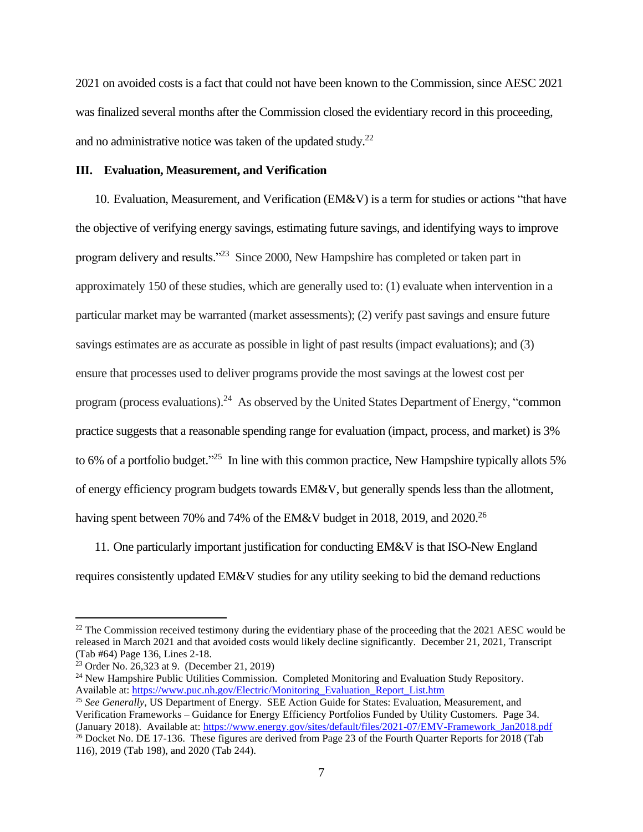2021 on avoided costs is a fact that could not have been known to the Commission, since AESC 2021 was finalized several months after the Commission closed the evidentiary record in this proceeding, and no administrative notice was taken of the updated study.<sup>22</sup>

# **III. Evaluation, Measurement, and Verification**

10. Evaluation, Measurement, and Verification (EM&V) is a term for studies or actions "that have the objective of verifying energy savings, estimating future savings, and identifying ways to improve program delivery and results."<sup>23</sup> Since 2000, New Hampshire has completed or taken part in approximately 150 of these studies, which are generally used to: (1) evaluate when intervention in a particular market may be warranted (market assessments); (2) verify past savings and ensure future savings estimates are as accurate as possible in light of past results (impact evaluations); and (3) ensure that processes used to deliver programs provide the most savings at the lowest cost per program (process evaluations).<sup>24</sup> As observed by the United States Department of Energy, "common practice suggests that a reasonable spending range for evaluation (impact, process, and market) is 3% to 6% of a portfolio budget."<sup>25</sup> In line with this common practice, New Hampshire typically allots 5% of energy efficiency program budgets towards EM&V, but generally spends less than the allotment, having spent between 70% and 74% of the EM&V budget in 2018, 2019, and 2020.<sup>26</sup>

11. One particularly important justification for conducting EM&V is that ISO-New England requires consistently updated EM&V studies for any utility seeking to bid the demand reductions

 $^{22}$  The Commission received testimony during the evidentiary phase of the proceeding that the 2021 AESC would be released in March 2021 and that avoided costs would likely decline significantly. December 21, 2021, Transcript (Tab #64) Page 136, Lines 2-18.

<sup>23</sup> Order No. 26,323 at 9. (December 21, 2019)

 $24$  New Hampshire Public Utilities Commission. Completed Monitoring and Evaluation Study Repository. Available at: [https://www.puc.nh.gov/Electric/Monitoring\\_Evaluation\\_Report\\_List.htm](https://www.puc.nh.gov/Electric/Monitoring_Evaluation_Report_List.htm)

<sup>&</sup>lt;sup>25</sup> See Generally, US Department of Energy. SEE Action Guide for States: Evaluation, Measurement, and Verification Frameworks – Guidance for Energy Efficiency Portfolios Funded by Utility Customers. Page 34. (January 2018). Available at[: https://www.energy.gov/sites/default/files/2021-07/EMV-Framework\\_Jan2018.pdf](https://www.energy.gov/sites/default/files/2021-07/EMV-Framework_Jan2018.pdf)  <sup>26</sup> Docket No. DE 17-136. These figures are derived from Page 23 of the Fourth Quarter Reports for 2018 (Tab 116), 2019 (Tab 198), and 2020 (Tab 244).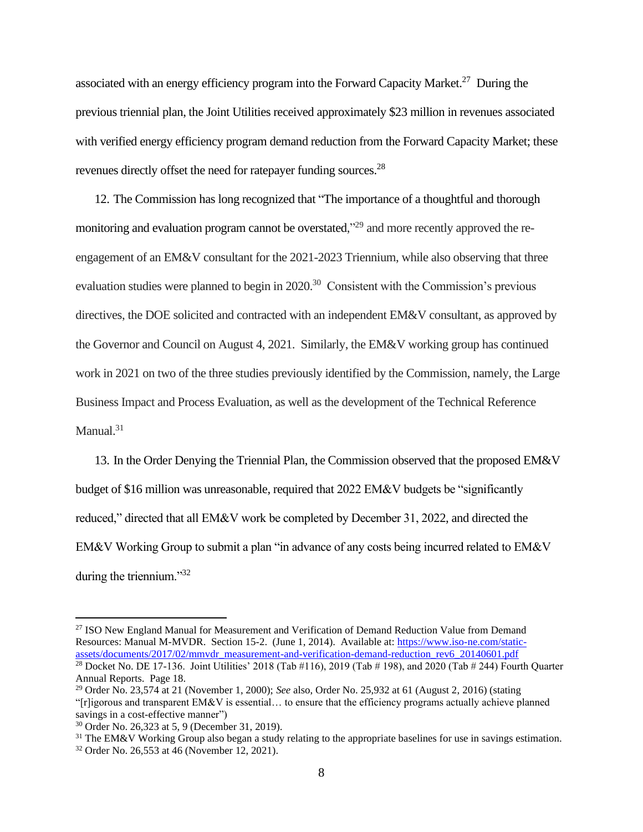associated with an energy efficiency program into the Forward Capacity Market.<sup>27</sup> During the previous triennial plan, the Joint Utilities received approximately \$23 million in revenues associated with verified energy efficiency program demand reduction from the Forward Capacity Market; these revenues directly offset the need for ratepayer funding sources.<sup>28</sup>

12. The Commission has long recognized that "The importance of a thoughtful and thorough monitoring and evaluation program cannot be overstated,"<sup>29</sup> and more recently approved the reengagement of an EM&V consultant for the 2021-2023 Triennium, while also observing that three evaluation studies were planned to begin in  $2020$ .<sup>30</sup> Consistent with the Commission's previous directives, the DOE solicited and contracted with an independent EM&V consultant, as approved by the Governor and Council on August 4, 2021. Similarly, the EM&V working group has continued work in 2021 on two of the three studies previously identified by the Commission, namely, the Large Business Impact and Process Evaluation, as well as the development of the Technical Reference Manual. $31$ 

13. In the Order Denying the Triennial Plan, the Commission observed that the proposed EM&V budget of \$16 million was unreasonable, required that 2022 EM&V budgets be "significantly reduced," directed that all EM&V work be completed by December 31, 2022, and directed the EM&V Working Group to submit a plan "in advance of any costs being incurred related to EM&V during the triennium."32

<sup>&</sup>lt;sup>27</sup> ISO New England Manual for Measurement and Verification of Demand Reduction Value from Demand Resources: Manual M-MVDR. Section 15-2. (June 1, 2014). Available at: [https://www.iso-ne.com/static](https://www.iso-ne.com/static-assets/documents/2017/02/mmvdr_measurement-and-verification-demand-reduction_rev6_20140601.pdf)[assets/documents/2017/02/mmvdr\\_measurement-and-verification-demand-reduction\\_rev6\\_20140601.pdf](https://www.iso-ne.com/static-assets/documents/2017/02/mmvdr_measurement-and-verification-demand-reduction_rev6_20140601.pdf)

<sup>&</sup>lt;sup>28</sup> Docket No. DE 17-136. Joint Utilities' 2018 (Tab #116), 2019 (Tab # 198), and 2020 (Tab # 244) Fourth Quarter Annual Reports. Page 18.

<sup>29</sup> Order No. 23,574 at 21 (November 1, 2000); *See* also, Order No. 25,932 at 61 (August 2, 2016) (stating "[r]igorous and transparent EM&V is essential… to ensure that the efficiency programs actually achieve planned savings in a cost-effective manner")

<sup>30</sup> Order No. 26,323 at 5, 9 (December 31, 2019).

 $31$  The EM&V Working Group also began a study relating to the appropriate baselines for use in savings estimation. <sup>32</sup> Order No. 26,553 at 46 (November 12, 2021).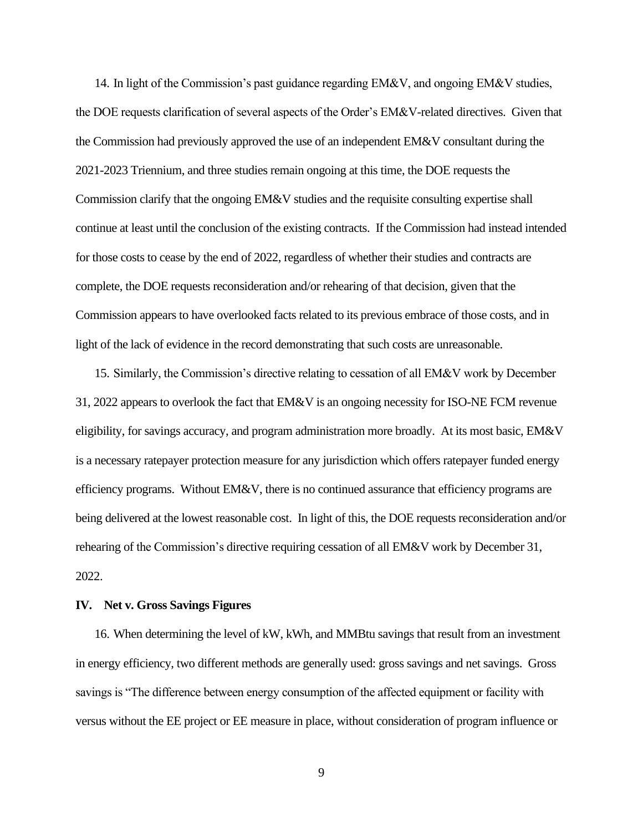14. In light of the Commission's past guidance regarding EM&V, and ongoing EM&V studies, the DOE requests clarification of several aspects of the Order's EM&V-related directives. Given that the Commission had previously approved the use of an independent EM&V consultant during the 2021-2023 Triennium, and three studies remain ongoing at this time, the DOE requests the Commission clarify that the ongoing EM&V studies and the requisite consulting expertise shall continue at least until the conclusion of the existing contracts. If the Commission had instead intended for those costs to cease by the end of 2022, regardless of whether their studies and contracts are complete, the DOE requests reconsideration and/or rehearing of that decision, given that the Commission appears to have overlooked facts related to its previous embrace of those costs, and in light of the lack of evidence in the record demonstrating that such costs are unreasonable.

15. Similarly, the Commission's directive relating to cessation of all EM&V work by December 31, 2022 appears to overlook the fact that EM&V is an ongoing necessity for ISO-NE FCM revenue eligibility, for savings accuracy, and program administration more broadly. At its most basic, EM&V is a necessary ratepayer protection measure for any jurisdiction which offers ratepayer funded energy efficiency programs. Without  $EM&V$ , there is no continued assurance that efficiency programs are being delivered at the lowest reasonable cost. In light of this, the DOE requests reconsideration and/or rehearing of the Commission's directive requiring cessation of all EM&V work by December 31, 2022.

#### **IV. Net v. Gross Savings Figures**

16. When determining the level of kW, kWh, and MMBtu savings that result from an investment in energy efficiency, two different methods are generally used: gross savings and net savings. Gross savings is "The difference between energy consumption of the affected equipment or facility with versus without the EE project or EE measure in place, without consideration of program influence or

9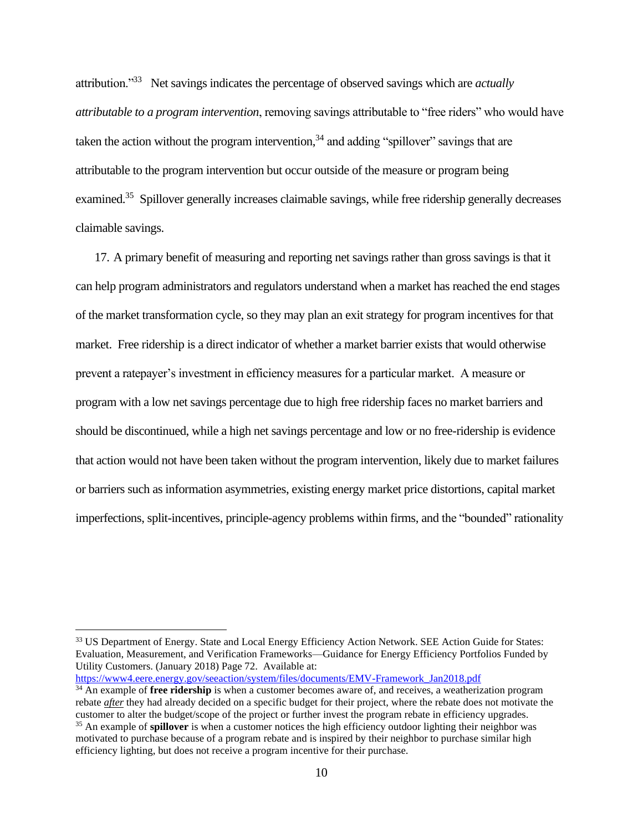attribution."<sup>33</sup> Net savings indicates the percentage of observed savings which are *actually attributable to a program intervention*, removing savings attributable to "free riders" who would have taken the action without the program intervention,  $34$  and adding "spillover" savings that are attributable to the program intervention but occur outside of the measure or program being examined.<sup>35</sup> Spillover generally increases claimable savings, while free ridership generally decreases claimable savings.

17. A primary benefit of measuring and reporting net savings rather than gross savings is that it can help program administrators and regulators understand when a market has reached the end stages of the market transformation cycle, so they may plan an exit strategy for program incentives for that market. Free ridership is a direct indicator of whether a market barrier exists that would otherwise prevent a ratepayer's investment in efficiency measures for a particular market. A measure or program with a low net savings percentage due to high free ridership faces no market barriers and should be discontinued, while a high net savings percentage and low or no free-ridership is evidence that action would not have been taken without the program intervention, likely due to market failures or barriers such as information asymmetries, existing energy market price distortions, capital market imperfections, split-incentives, principle-agency problems within firms, and the "bounded" rationality

[https://www4.eere.energy.gov/seeaction/system/files/documents/EMV-Framework\\_Jan2018.pdf](https://www4.eere.energy.gov/seeaction/system/files/documents/EMV-Framework_Jan2018.pdf)

<sup>&</sup>lt;sup>33</sup> US Department of Energy. State and Local Energy Efficiency Action Network. SEE Action Guide for States: Evaluation, Measurement, and Verification Frameworks—Guidance for Energy Efficiency Portfolios Funded by Utility Customers. (January 2018) Page 72. Available at:

<sup>&</sup>lt;sup>34</sup> An example of **free ridership** is when a customer becomes aware of, and receives, a weatherization program rebate *after* they had already decided on a specific budget for their project, where the rebate does not motivate the customer to alter the budget/scope of the project or further invest the program rebate in efficiency upgrades.

<sup>&</sup>lt;sup>35</sup> An example of **spillover** is when a customer notices the high efficiency outdoor lighting their neighbor was motivated to purchase because of a program rebate and is inspired by their neighbor to purchase similar high efficiency lighting, but does not receive a program incentive for their purchase.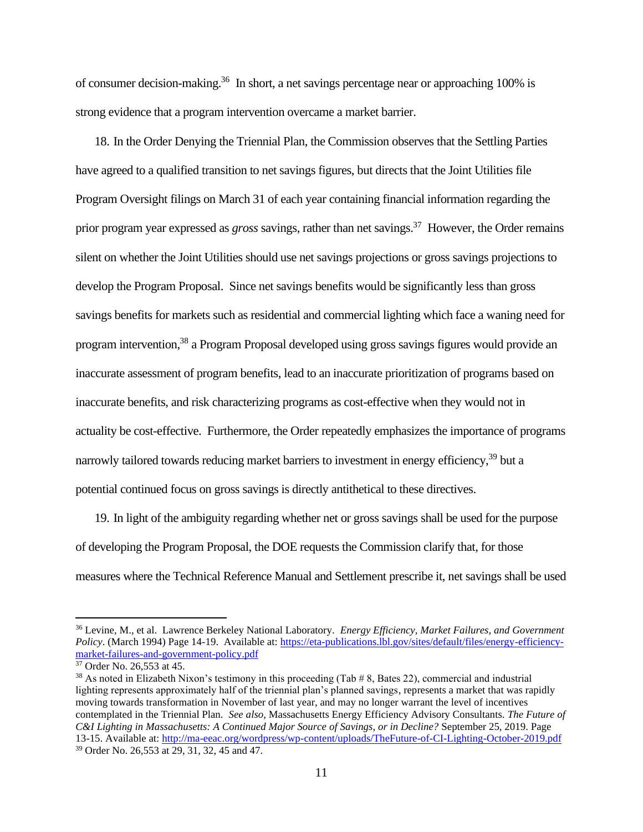of consumer decision-making.<sup>36</sup> In short, a net savings percentage near or approaching 100% is strong evidence that a program intervention overcame a market barrier.

18. In the Order Denying the Triennial Plan, the Commission observes that the Settling Parties have agreed to a qualified transition to net savings figures, but directs that the Joint Utilities file Program Oversight filings on March 31 of each year containing financial information regarding the prior program year expressed as *gross* savings, rather than net savings. 37 However, the Order remains silent on whether the Joint Utilities should use net savings projections or gross savings projections to develop the Program Proposal. Since net savings benefits would be significantly less than gross savings benefits for markets such as residential and commercial lighting which face a waning need for program intervention,<sup>38</sup> a Program Proposal developed using gross savings figures would provide an inaccurate assessment of program benefits, lead to an inaccurate prioritization of programs based on inaccurate benefits, and risk characterizing programs as cost-effective when they would not in actuality be cost-effective. Furthermore, the Order repeatedly emphasizes the importance of programs narrowly tailored towards reducing market barriers to investment in energy efficiency,<sup>39</sup> but a potential continued focus on gross savings is directly antithetical to these directives.

19. In light of the ambiguity regarding whether net or gross savings shall be used for the purpose of developing the Program Proposal, the DOE requests the Commission clarify that, for those measures where the Technical Reference Manual and Settlement prescribe it, net savings shall be used

<sup>36</sup> Levine, M., et al. Lawrence Berkeley National Laboratory. *Energy Efficiency, Market Failures, and Government Policy*. (March 1994) Page 14-19. Available at: [https://eta-publications.lbl.gov/sites/default/files/energy-efficiency](https://eta-publications.lbl.gov/sites/default/files/energy-efficiency-market-failures-and-government-policy.pdf)[market-failures-and-government-policy.pdf](https://eta-publications.lbl.gov/sites/default/files/energy-efficiency-market-failures-and-government-policy.pdf)

<sup>37</sup> Order No. 26,553 at 45.

<sup>&</sup>lt;sup>38</sup> As noted in Elizabeth Nixon's testimony in this proceeding (Tab  $\# 8$ , Bates 22), commercial and industrial lighting represents approximately half of the triennial plan's planned savings, represents a market that was rapidly moving towards transformation in November of last year, and may no longer warrant the level of incentives contemplated in the Triennial Plan. *See also*, Massachusetts Energy Efficiency Advisory Consultants. *The Future of C&I Lighting in Massachusetts: A Continued Major Source of Savings, or in Decline?* September 25, 2019. Page 13-15. Available at:<http://ma-eeac.org/wordpress/wp-content/uploads/TheFuture-of-CI-Lighting-October-2019.pdf> <sup>39</sup> Order No. 26,553 at 29, 31, 32, 45 and 47.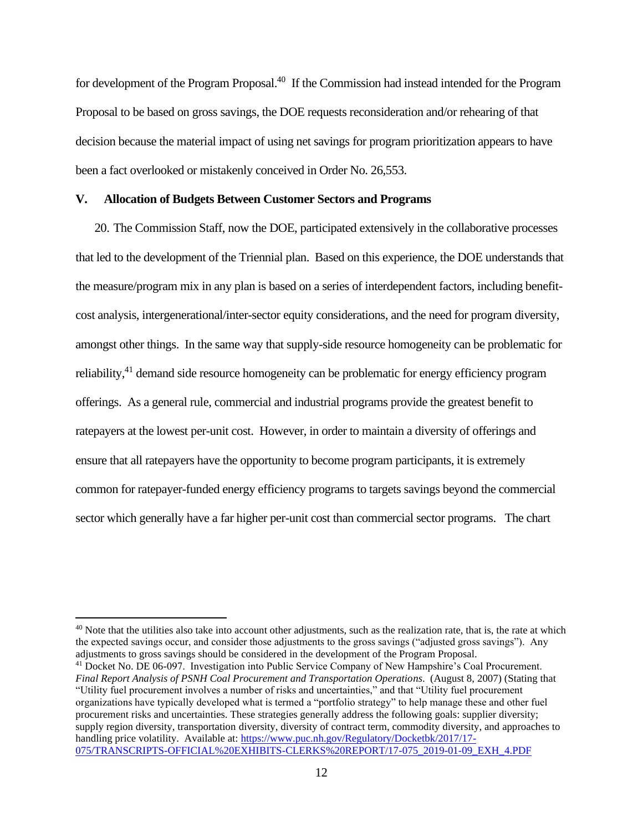for development of the Program Proposal.<sup>40</sup> If the Commission had instead intended for the Program Proposal to be based on gross savings, the DOE requests reconsideration and/or rehearing of that decision because the material impact of using net savings for program prioritization appears to have been a fact overlooked or mistakenly conceived in Order No. 26,553.

### **V. Allocation of Budgets Between Customer Sectors and Programs**

20. The Commission Staff, now the DOE, participated extensively in the collaborative processes that led to the development of the Triennial plan. Based on this experience, the DOE understands that the measure/program mix in any plan is based on a series of interdependent factors, including benefitcost analysis, intergenerational/inter-sector equity considerations, and the need for program diversity, amongst other things. In the same way that supply-side resource homogeneity can be problematic for reliability,<sup>41</sup> demand side resource homogeneity can be problematic for energy efficiency program offerings. As a general rule, commercial and industrial programs provide the greatest benefit to ratepayers at the lowest per-unit cost. However, in order to maintain a diversity of offerings and ensure that all ratepayers have the opportunity to become program participants, it is extremely common for ratepayer-funded energy efficiency programs to targets savings beyond the commercial sector which generally have a far higher per-unit cost than commercial sector programs. The chart

<sup>&</sup>lt;sup>40</sup> Note that the utilities also take into account other adjustments, such as the realization rate, that is, the rate at which the expected savings occur, and consider those adjustments to the gross savings ("adjusted gross savings"). Any adjustments to gross savings should be considered in the development of the Program Proposal.

<sup>41</sup> Docket No. DE 06-097. Investigation into Public Service Company of New Hampshire's Coal Procurement. *Final Report Analysis of PSNH Coal Procurement and Transportation Operations*. (August 8, 2007) (Stating that "Utility fuel procurement involves a number of risks and uncertainties," and that "Utility fuel procurement organizations have typically developed what is termed a "portfolio strategy" to help manage these and other fuel procurement risks and uncertainties. These strategies generally address the following goals: supplier diversity; supply region diversity, transportation diversity, diversity of contract term, commodity diversity, and approaches to handling price volatility. Available at: [https://www.puc.nh.gov/Regulatory/Docketbk/2017/17-](https://www.puc.nh.gov/Regulatory/Docketbk/2017/17-075/TRANSCRIPTS-OFFICIAL%20EXHIBITS-CLERKS%20REPORT/17-075_2019-01-09_EXH_4.PDF) [075/TRANSCRIPTS-OFFICIAL%20EXHIBITS-CLERKS%20REPORT/17-075\\_2019-01-09\\_EXH\\_4.PDF](https://www.puc.nh.gov/Regulatory/Docketbk/2017/17-075/TRANSCRIPTS-OFFICIAL%20EXHIBITS-CLERKS%20REPORT/17-075_2019-01-09_EXH_4.PDF)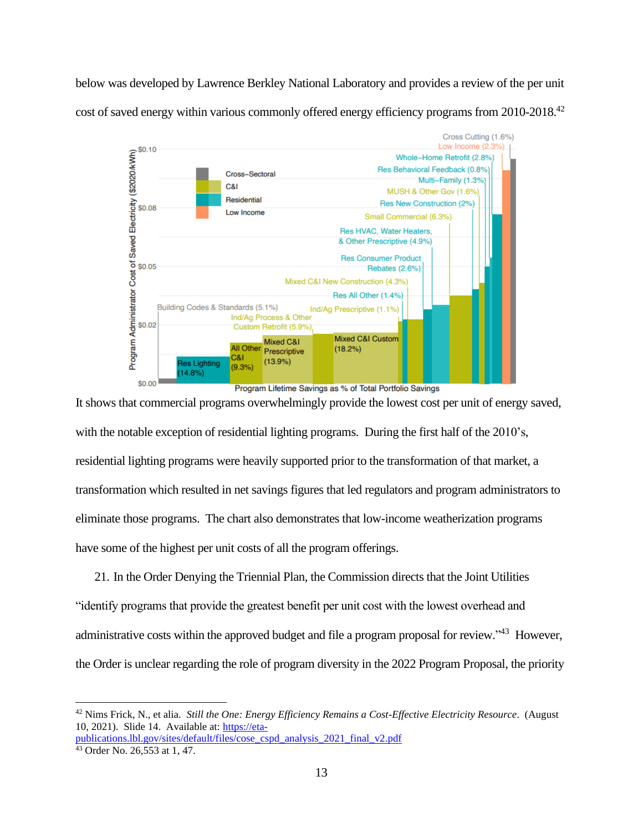below was developed by Lawrence Berkley National Laboratory and provides a review of the per unit cost of saved energy within various commonly offered energy efficiency programs from 2010-2018.<sup>42</sup>



Program Lifetime Savings as % of Total Portfolio Savings

It shows that commercial programs overwhelmingly provide the lowest cost per unit of energy saved, with the notable exception of residential lighting programs. During the first half of the 2010's, residential lighting programs were heavily supported prior to the transformation of that market, a transformation which resulted in net savings figures that led regulators and program administrators to eliminate those programs. The chart also demonstrates that low-income weatherization programs have some of the highest per unit costs of all the program offerings.

21. In the Order Denying the Triennial Plan, the Commission directs that the Joint Utilities "identify programs that provide the greatest benefit per unit cost with the lowest overhead and administrative costs within the approved budget and file a program proposal for review."<sup>43</sup> However, the Order is unclear regarding the role of program diversity in the 2022 Program Proposal, the priority

<sup>42</sup> Nims Frick, N., et alia. *Still the One: Energy Efficiency Remains a Cost-Effective Electricity Resource*. (August 10, 2021). Slide 14. Available at: [https://eta](https://eta-publications.lbl.gov/sites/default/files/cose_cspd_analysis_2021_final_v2.pdf)[publications.lbl.gov/sites/default/files/cose\\_cspd\\_analysis\\_2021\\_final\\_v2.pdf](https://eta-publications.lbl.gov/sites/default/files/cose_cspd_analysis_2021_final_v2.pdf)

<sup>43</sup> Order No. 26,553 at 1, 47.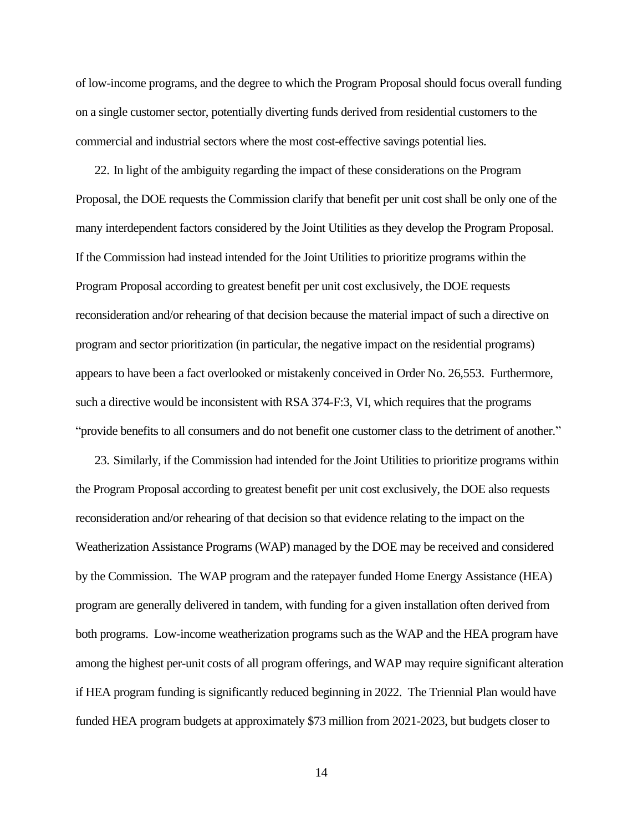of low-income programs, and the degree to which the Program Proposal should focus overall funding on a single customer sector, potentially diverting funds derived from residential customers to the commercial and industrial sectors where the most cost-effective savings potential lies.

22. In light of the ambiguity regarding the impact of these considerations on the Program Proposal, the DOE requests the Commission clarify that benefit per unit cost shall be only one of the many interdependent factors considered by the Joint Utilities as they develop the Program Proposal. If the Commission had instead intended for the Joint Utilities to prioritize programs within the Program Proposal according to greatest benefit per unit cost exclusively, the DOE requests reconsideration and/or rehearing of that decision because the material impact of such a directive on program and sector prioritization (in particular, the negative impact on the residential programs) appears to have been a fact overlooked or mistakenly conceived in Order No. 26,553. Furthermore, such a directive would be inconsistent with RSA 374-F:3, VI, which requires that the programs "provide benefits to all consumers and do not benefit one customer class to the detriment of another."

23. Similarly, if the Commission had intended for the Joint Utilities to prioritize programs within the Program Proposal according to greatest benefit per unit cost exclusively, the DOE also requests reconsideration and/or rehearing of that decision so that evidence relating to the impact on the Weatherization Assistance Programs (WAP) managed by the DOE may be received and considered by the Commission. The WAP program and the ratepayer funded Home Energy Assistance (HEA) program are generally delivered in tandem, with funding for a given installation often derived from both programs. Low-income weatherization programs such as the WAP and the HEA program have among the highest per-unit costs of all program offerings, and WAP may require significant alteration if HEA program funding is significantly reduced beginning in 2022. The Triennial Plan would have funded HEA program budgets at approximately \$73 million from 2021-2023, but budgets closer to

14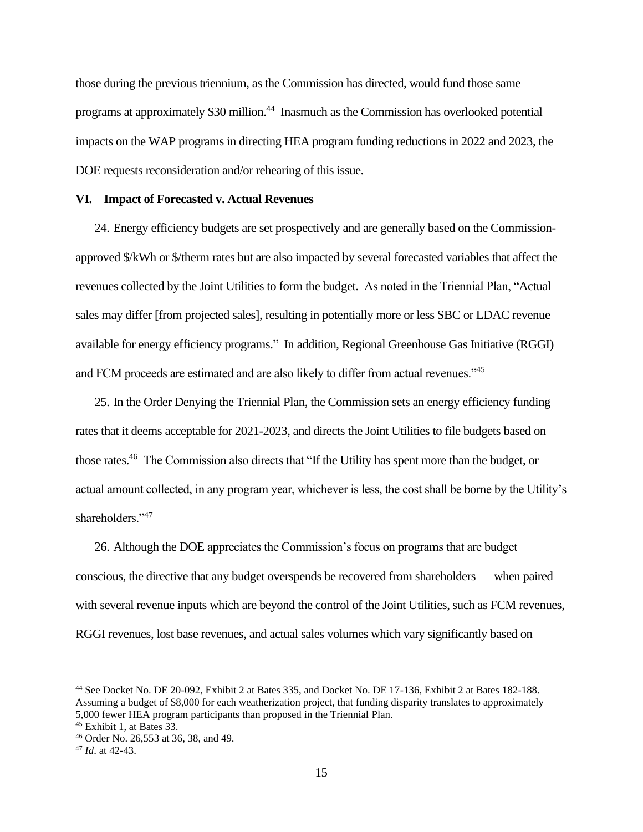those during the previous triennium, as the Commission has directed, would fund those same programs at approximately \$30 million.<sup>44</sup> Inasmuch as the Commission has overlooked potential impacts on the WAP programs in directing HEA program funding reductions in 2022 and 2023, the DOE requests reconsideration and/or rehearing of this issue.

#### **VI. Impact of Forecasted v. Actual Revenues**

24. Energy efficiency budgets are set prospectively and are generally based on the Commissionapproved \$/kWh or \$/therm rates but are also impacted by several forecasted variables that affect the revenues collected by the Joint Utilities to form the budget. As noted in the Triennial Plan, "Actual sales may differ [from projected sales], resulting in potentially more or less SBC or LDAC revenue available for energy efficiency programs." In addition, Regional Greenhouse Gas Initiative (RGGI) and FCM proceeds are estimated and are also likely to differ from actual revenues."<sup>45</sup>

25. In the Order Denying the Triennial Plan, the Commission sets an energy efficiency funding rates that it deems acceptable for 2021-2023, and directs the Joint Utilities to file budgets based on those rates.<sup>46</sup> The Commission also directs that "If the Utility has spent more than the budget, or actual amount collected, in any program year, whichever is less, the cost shall be borne by the Utility's shareholders."<sup>47</sup>

26. Although the DOE appreciates the Commission's focus on programs that are budget conscious, the directive that any budget overspends be recovered from shareholders — when paired with several revenue inputs which are beyond the control of the Joint Utilities, such as FCM revenues, RGGI revenues, lost base revenues, and actual sales volumes which vary significantly based on

<sup>44</sup> See Docket No. DE 20-092, Exhibit 2 at Bates 335, and Docket No. DE 17-136, Exhibit 2 at Bates 182-188. Assuming a budget of \$8,000 for each weatherization project, that funding disparity translates to approximately 5,000 fewer HEA program participants than proposed in the Triennial Plan.

<sup>45</sup> Exhibit 1, at Bates 33.

<sup>46</sup> Order No. 26,553 at 36, 38, and 49.

<sup>47</sup> *Id*. at 42-43.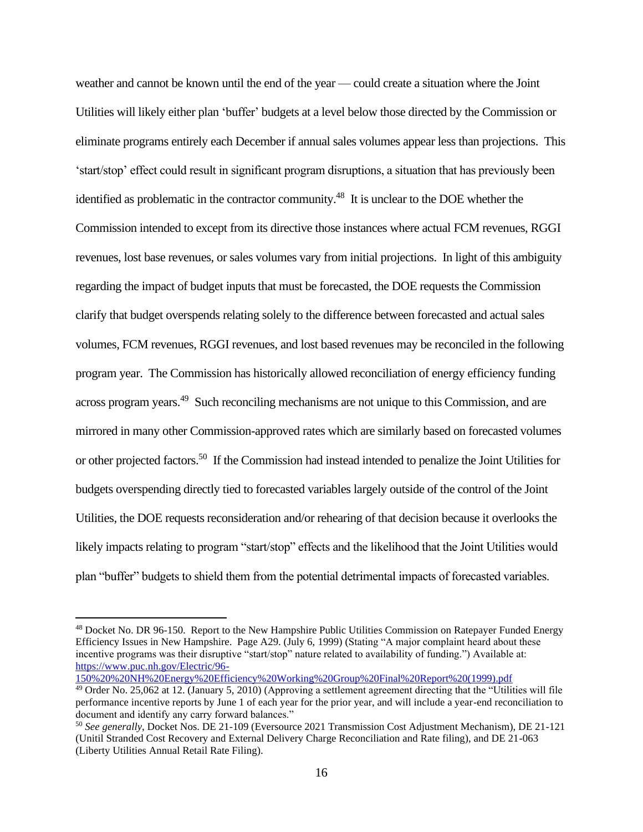weather and cannot be known until the end of the year — could create a situation where the Joint Utilities will likely either plan 'buffer' budgets at a level below those directed by the Commission or eliminate programs entirely each December if annual sales volumes appear less than projections. This 'start/stop' effect could result in significant program disruptions, a situation that has previously been identified as problematic in the contractor community.<sup>48</sup> It is unclear to the DOE whether the Commission intended to except from its directive those instances where actual FCM revenues, RGGI revenues, lost base revenues, or sales volumes vary from initial projections. In light of this ambiguity regarding the impact of budget inputs that must be forecasted, the DOE requests the Commission clarify that budget overspends relating solely to the difference between forecasted and actual sales volumes, FCM revenues, RGGI revenues, and lost based revenues may be reconciled in the following program year. The Commission has historically allowed reconciliation of energy efficiency funding across program years.<sup>49</sup> Such reconciling mechanisms are not unique to this Commission, and are mirrored in many other Commission-approved rates which are similarly based on forecasted volumes or other projected factors.<sup>50</sup> If the Commission had instead intended to penalize the Joint Utilities for budgets overspending directly tied to forecasted variables largely outside of the control of the Joint Utilities, the DOE requests reconsideration and/or rehearing of that decision because it overlooks the likely impacts relating to program "start/stop" effects and the likelihood that the Joint Utilities would plan "buffer" budgets to shield them from the potential detrimental impacts of forecasted variables.

<sup>48</sup> Docket No. DR 96-150. Report to the New Hampshire Public Utilities Commission on Ratepayer Funded Energy Efficiency Issues in New Hampshire. Page A29. (July 6, 1999) (Stating "A major complaint heard about these incentive programs was their disruptive "start/stop" nature related to availability of funding.") Available at: [https://www.puc.nh.gov/Electric/96-](https://www.puc.nh.gov/Electric/96-150%20%20NH%20Energy%20Efficiency%20Working%20Group%20Final%20Report%20(1999).pdf)

[<sup>150%20%20</sup>NH%20Energy%20Efficiency%20Working%20Group%20Final%20Report%20\(1999\).pdf](https://www.puc.nh.gov/Electric/96-150%20%20NH%20Energy%20Efficiency%20Working%20Group%20Final%20Report%20(1999).pdf)

<sup>&</sup>lt;sup>49</sup> Order No. 25,062 at 12. (January 5, 2010) (Approving a settlement agreement directing that the "Utilities will file performance incentive reports by June 1 of each year for the prior year, and will include a year-end reconciliation to document and identify any carry forward balances."

<sup>50</sup> *See generally*, Docket Nos. DE 21-109 (Eversource 2021 Transmission Cost Adjustment Mechanism), DE 21-121 (Unitil Stranded Cost Recovery and External Delivery Charge Reconciliation and Rate filing), and DE 21-063 (Liberty Utilities Annual Retail Rate Filing).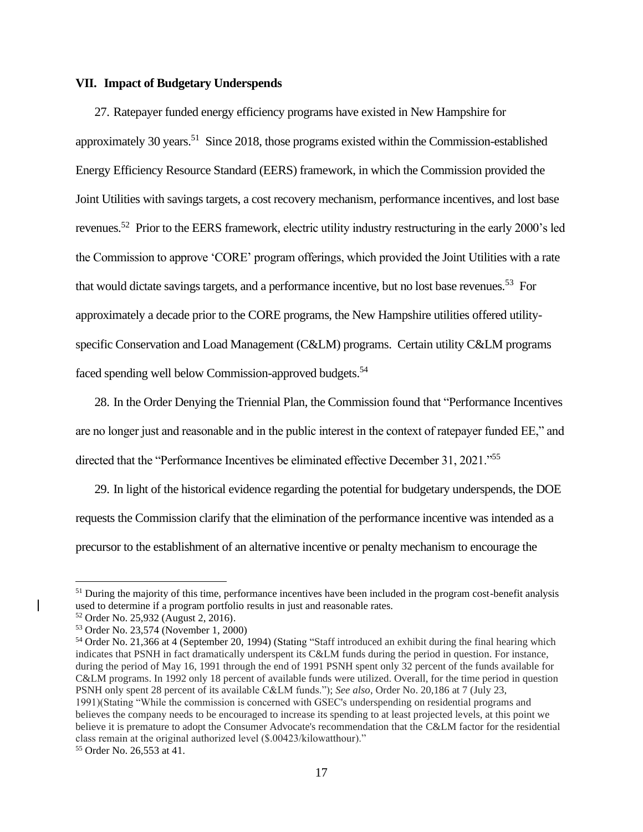## **VII. Impact of Budgetary Underspends**

27. Ratepayer funded energy efficiency programs have existed in New Hampshire for approximately 30 years.<sup>51</sup> Since 2018, those programs existed within the Commission-established Energy Efficiency Resource Standard (EERS) framework, in which the Commission provided the Joint Utilities with savings targets, a cost recovery mechanism, performance incentives, and lost base revenues.<sup>52</sup> Prior to the EERS framework, electric utility industry restructuring in the early 2000's led the Commission to approve 'CORE' program offerings, which provided the Joint Utilities with a rate that would dictate savings targets, and a performance incentive, but no lost base revenues.<sup>53</sup> For approximately a decade prior to the CORE programs, the New Hampshire utilities offered utilityspecific Conservation and Load Management (C&LM) programs. Certain utility C&LM programs faced spending well below Commission-approved budgets.<sup>54</sup>

28. In the Order Denying the Triennial Plan, the Commission found that "Performance Incentives are no longer just and reasonable and in the public interest in the context of ratepayer funded EE," and directed that the "Performance Incentives be eliminated effective December 31, 2021."<sup>55</sup>

29. In light of the historical evidence regarding the potential for budgetary underspends, the DOE requests the Commission clarify that the elimination of the performance incentive was intended as a precursor to the establishment of an alternative incentive or penalty mechanism to encourage the

 $<sup>51</sup>$  During the majority of this time, performance incentives have been included in the program cost-benefit analysis</sup> used to determine if a program portfolio results in just and reasonable rates.

<sup>52</sup> Order No. 25,932 (August 2, 2016).

<sup>53</sup> Order No. 23,574 (November 1, 2000)

<sup>54</sup> Order No. 21,366 at 4 (September 20, 1994) (Stating "Staff introduced an exhibit during the final hearing which indicates that PSNH in fact dramatically underspent its C&LM funds during the period in question. For instance, during the period of May 16, 1991 through the end of 1991 PSNH spent only 32 percent of the funds available for C&LM programs. In 1992 only 18 percent of available funds were utilized. Overall, for the time period in question PSNH only spent 28 percent of its available C&LM funds."); *See also*, Order No. 20,186 at 7 (July 23, 1991)(Stating "While the commission is concerned with GSEC's underspending on residential programs and believes the company needs to be encouraged to increase its spending to at least projected levels, at this point we believe it is premature to adopt the Consumer Advocate's recommendation that the C&LM factor for the residential class remain at the original authorized level (\$.00423/kilowatthour)." <sup>55</sup> Order No. 26,553 at 41.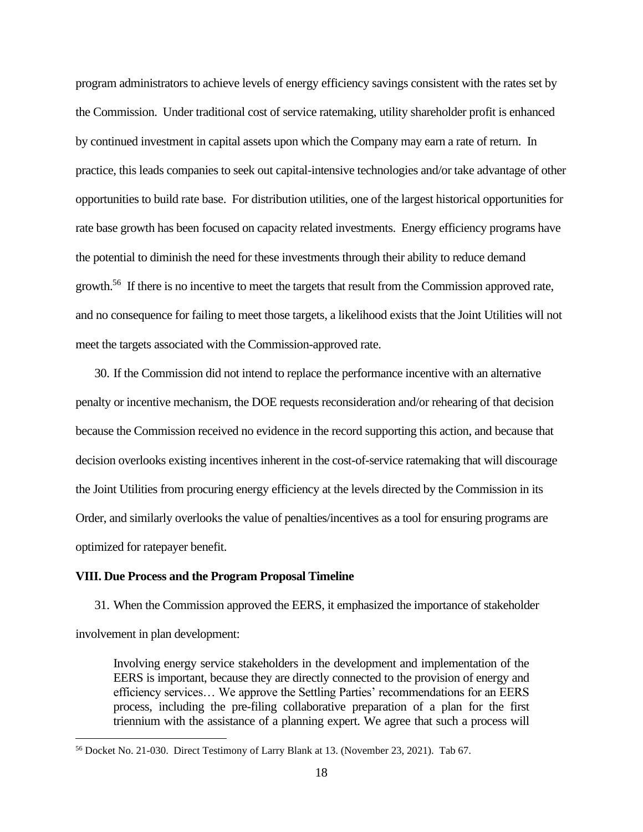program administrators to achieve levels of energy efficiency savings consistent with the rates set by the Commission. Under traditional cost of service ratemaking, utility shareholder profit is enhanced by continued investment in capital assets upon which the Company may earn a rate of return. In practice, this leads companies to seek out capital-intensive technologies and/or take advantage of other opportunities to build rate base. For distribution utilities, one of the largest historical opportunities for rate base growth has been focused on capacity related investments. Energy efficiency programs have the potential to diminish the need for these investments through their ability to reduce demand growth.<sup>56</sup> If there is no incentive to meet the targets that result from the Commission approved rate, and no consequence for failing to meet those targets, a likelihood exists that the Joint Utilities will not meet the targets associated with the Commission-approved rate.

30. If the Commission did not intend to replace the performance incentive with an alternative penalty or incentive mechanism, the DOE requests reconsideration and/or rehearing of that decision because the Commission received no evidence in the record supporting this action, and because that decision overlooks existing incentives inherent in the cost-of-service ratemaking that will discourage the Joint Utilities from procuring energy efficiency at the levels directed by the Commission in its Order, and similarly overlooks the value of penalties/incentives as a tool for ensuring programs are optimized for ratepayer benefit.

#### **VIII. Due Process and the Program Proposal Timeline**

31. When the Commission approved the EERS, it emphasized the importance of stakeholder involvement in plan development:

Involving energy service stakeholders in the development and implementation of the EERS is important, because they are directly connected to the provision of energy and efficiency services… We approve the Settling Parties' recommendations for an EERS process, including the pre-filing collaborative preparation of a plan for the first triennium with the assistance of a planning expert. We agree that such a process will

<sup>56</sup> Docket No. 21-030. Direct Testimony of Larry Blank at 13. (November 23, 2021). Tab 67.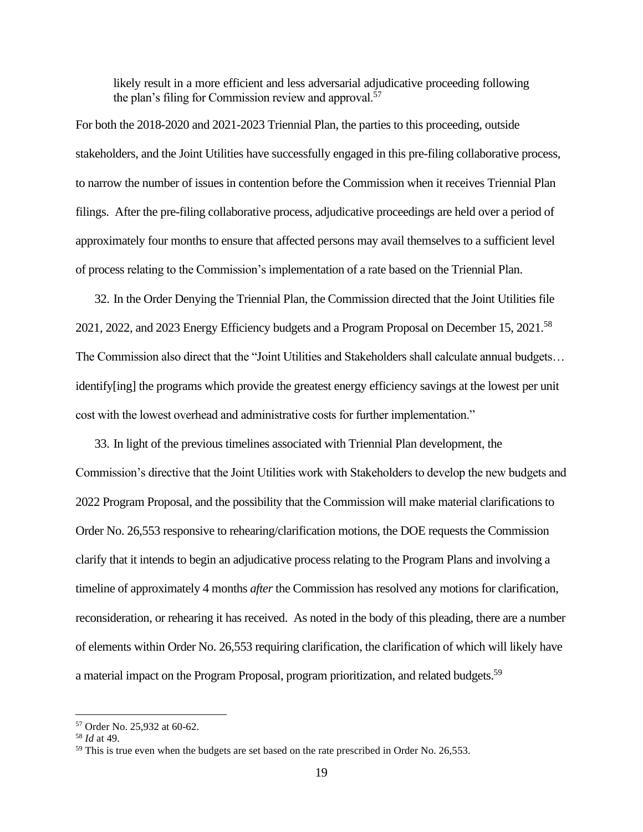likely result in a more efficient and less adversarial adjudicative proceeding following the plan's filing for Commission review and approval.<sup>57</sup>

For both the 2018-2020 and 2021-2023 Triennial Plan, the parties to this proceeding, outside stakeholders, and the Joint Utilities have successfully engaged in this pre-filing collaborative process, to narrow the number of issues in contention before the Commission when it receives Triennial Plan filings. After the pre-filing collaborative process, adjudicative proceedings are held over a period of approximately four months to ensure that affected persons may avail themselves to a sufficient level of process relating to the Commission's implementation of a rate based on the Triennial Plan.

32. In the Order Denying the Triennial Plan, the Commission directed that the Joint Utilities file 2021, 2022, and 2023 Energy Efficiency budgets and a Program Proposal on December 15, 2021.<sup>58</sup> The Commission also direct that the "Joint Utilities and Stakeholders shall calculate annual budgets… identify[ing] the programs which provide the greatest energy efficiency savings at the lowest per unit cost with the lowest overhead and administrative costs for further implementation."

33. In light of the previous timelines associated with Triennial Plan development, the Commission's directive that the Joint Utilities work with Stakeholders to develop the new budgets and 2022 Program Proposal, and the possibility that the Commission will make material clarifications to Order No. 26,553 responsive to rehearing/clarification motions, the DOE requests the Commission clarify that it intends to begin an adjudicative process relating to the Program Plans and involving a timeline of approximately 4 months *after* the Commission has resolved any motions for clarification, reconsideration, or rehearing it has received. As noted in the body of this pleading, there are a number of elements within Order No. 26,553 requiring clarification, the clarification of which will likely have a material impact on the Program Proposal, program prioritization, and related budgets.<sup>59</sup>

<sup>57</sup> Order No. 25,932 at 60-62.

<sup>58</sup> *Id* at 49.

 $59$  This is true even when the budgets are set based on the rate prescribed in Order No. 26,553.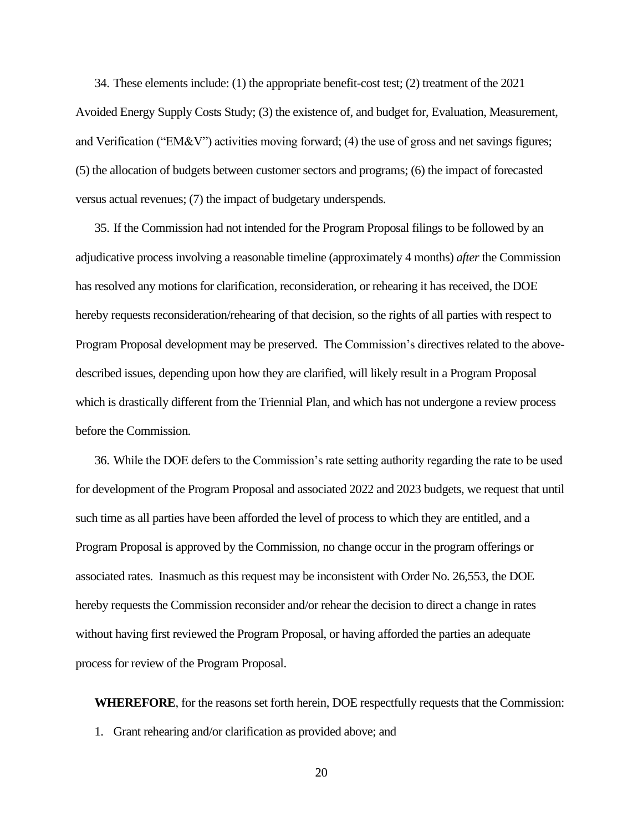34. These elements include: (1) the appropriate benefit-cost test; (2) treatment of the 2021 Avoided Energy Supply Costs Study; (3) the existence of, and budget for, Evaluation, Measurement, and Verification ("EM&V") activities moving forward; (4) the use of gross and net savings figures; (5) the allocation of budgets between customer sectors and programs; (6) the impact of forecasted versus actual revenues; (7) the impact of budgetary underspends.

35. If the Commission had not intended for the Program Proposal filings to be followed by an adjudicative process involving a reasonable timeline (approximately 4 months) *after* the Commission has resolved any motions for clarification, reconsideration, or rehearing it has received, the DOE hereby requests reconsideration/rehearing of that decision, so the rights of all parties with respect to Program Proposal development may be preserved. The Commission's directives related to the abovedescribed issues, depending upon how they are clarified, will likely result in a Program Proposal which is drastically different from the Triennial Plan, and which has not undergone a review process before the Commission.

36. While the DOE defers to the Commission's rate setting authority regarding the rate to be used for development of the Program Proposal and associated 2022 and 2023 budgets, we request that until such time as all parties have been afforded the level of process to which they are entitled, and a Program Proposal is approved by the Commission, no change occur in the program offerings or associated rates. Inasmuch as this request may be inconsistent with Order No. 26,553, the DOE hereby requests the Commission reconsider and/or rehear the decision to direct a change in rates without having first reviewed the Program Proposal, or having afforded the parties an adequate process for review of the Program Proposal.

**WHEREFORE**, for the reasons set forth herein, DOE respectfully requests that the Commission:

1. Grant rehearing and/or clarification as provided above; and

20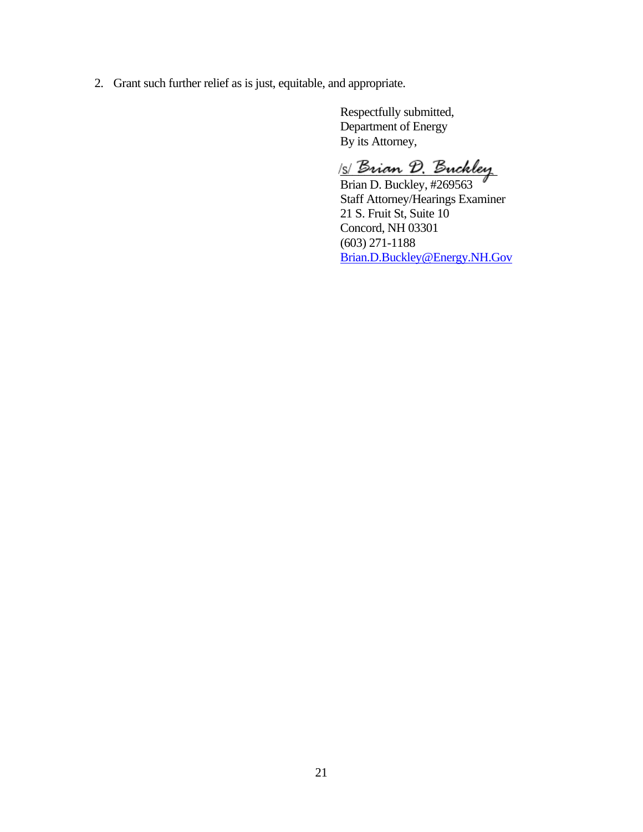2. Grant such further relief as is just, equitable, and appropriate.

Respectfully submitted, Department of Energy By its Attorney,

s *Brian D. Buckley* 

Brian D. Buckley, #269563 Staff Attorney/Hearings Examiner 21 S. Fruit St, Suite 10 Concord, NH 03301 (603) 271-1188 [Brian.D.Buckley@Energy.NH.Gov](mailto:Brian.D.Buckley@Energy.NH.Gov)